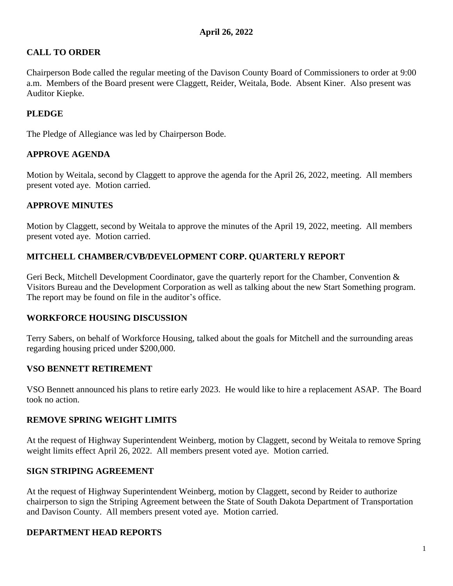## **CALL TO ORDER**

Chairperson Bode called the regular meeting of the Davison County Board of Commissioners to order at 9:00 a.m. Members of the Board present were Claggett, Reider, Weitala, Bode. Absent Kiner. Also present was Auditor Kiepke.

## **PLEDGE**

The Pledge of Allegiance was led by Chairperson Bode.

### **APPROVE AGENDA**

Motion by Weitala, second by Claggett to approve the agenda for the April 26, 2022, meeting. All members present voted aye. Motion carried.

### **APPROVE MINUTES**

Motion by Claggett, second by Weitala to approve the minutes of the April 19, 2022, meeting. All members present voted aye. Motion carried.

### **MITCHELL CHAMBER/CVB/DEVELOPMENT CORP. QUARTERLY REPORT**

Geri Beck, Mitchell Development Coordinator, gave the quarterly report for the Chamber, Convention & Visitors Bureau and the Development Corporation as well as talking about the new Start Something program. The report may be found on file in the auditor's office.

#### **WORKFORCE HOUSING DISCUSSION**

Terry Sabers, on behalf of Workforce Housing, talked about the goals for Mitchell and the surrounding areas regarding housing priced under \$200,000.

#### **VSO BENNETT RETIREMENT**

VSO Bennett announced his plans to retire early 2023. He would like to hire a replacement ASAP. The Board took no action.

#### **REMOVE SPRING WEIGHT LIMITS**

At the request of Highway Superintendent Weinberg, motion by Claggett, second by Weitala to remove Spring weight limits effect April 26, 2022. All members present voted aye. Motion carried.

#### **SIGN STRIPING AGREEMENT**

At the request of Highway Superintendent Weinberg, motion by Claggett, second by Reider to authorize chairperson to sign the Striping Agreement between the State of South Dakota Department of Transportation and Davison County. All members present voted aye. Motion carried.

#### **DEPARTMENT HEAD REPORTS**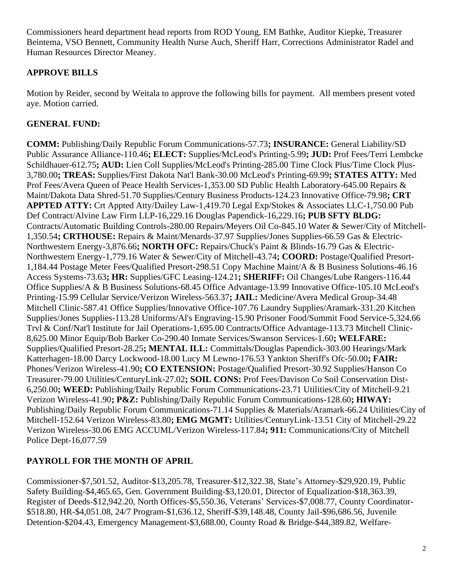Commissioners heard department head reports from ROD Young, EM Bathke, Auditor Kiepke, Treasurer Beintema, VSO Bennett, Community Health Nurse Auch, Sheriff Harr, Corrections Administrator Radel and Human Resources Director Meaney.

# **APPROVE BILLS**

Motion by Reider, second by Weitala to approve the following bills for payment. All members present voted aye. Motion carried.

# **GENERAL FUND:**

**COMM:** Publishing/Daily Republic Forum Communications-57.73**; INSURANCE:** General Liability/SD Public Assurance Alliance-110.46**; ELECT:** Supplies/McLeod's Printing-5.99**; JUD:** Prof Fees/Terri Lembcke Schildhauer-612.75**; AUD:** Lien Coll Supplies/McLeod's Printing-285.00 Time Clock Plus/Time Clock Plus-3,780.00**; TREAS:** Supplies/First Dakota Nat'l Bank-30.00 McLeod's Printing-69.99**; STATES ATTY:** Med Prof Fees/Avera Queen of Peace Health Services-1,353.00 SD Public Health Laboratory-645.00 Repairs & Maint/Dakota Data Shred-51.70 Supplies/Century Business Products-124.23 Innovative Office-79.98**; CRT APPTED ATTY:** Crt Appted Atty/Dailey Law-1,419.70 Legal Exp/Stokes & Associates LLC-1,750.00 Pub Def Contract/Alvine Law Firm LLP-16,229.16 Douglas Papendick-16,229.16**; PUB SFTY BLDG:** Contracts/Automatic Building Controls-280.00 Repairs/Meyers Oil Co-845.10 Water & Sewer/City of Mitchell-1,350.54**; CRTHOUSE:** Repairs & Maint/Menards-37.97 Supplies/Jones Supplies-66.59 Gas & Electric-Northwestern Energy-3,876.66**; NORTH OFC:** Repairs/Chuck's Paint & Blinds-16.79 Gas & Electric-Northwestern Energy-1,779.16 Water & Sewer/City of Mitchell-43.74**; COORD:** Postage/Qualified Presort-1,184.44 Postage Meter Fees/Qualified Presort-298.51 Copy Machine Maint/A & B Business Solutions-46.16 Access Systems-73.63**; HR:** Supplies/GFC Leasing-124.21**; SHERIFF:** Oil Changes/Lube Rangers-116.44 Office Supplies/A & B Business Solutions-68.45 Office Advantage-13.99 Innovative Office-105.10 McLeod's Printing-15.99 Cellular Service/Verizon Wireless-563.37**; JAIL:** Medicine/Avera Medical Group-34.48 Mitchell Clinic-587.41 Office Supplies/Innovative Office-107.76 Laundry Supplies/Aramark-331.20 Kitchen Supplies/Jones Supplies-113.28 Uniforms/Al's Engraving-15.90 Prisoner Food/Summit Food Service-5,324.66 Trvl & Conf/Nat'l Institute for Jail Operations-1,695.00 Contracts/Office Advantage-113.73 Mitchell Clinic-8,625.00 Minor Equip/Bob Barker Co-290.40 Inmate Services/Swanson Services-1.60**; WELFARE:** Supplies/Qualified Presort-28.25**; MENTAL ILL:** Committals/Douglas Papendick-303.00 Hearings/Mark Katterhagen-18.00 Darcy Lockwood-18.00 Lucy M Lewno-176.53 Yankton Sheriff's Ofc-50.00**; FAIR:** Phones/Verizon Wireless-41.90**; CO EXTENSION:** Postage/Qualified Presort-30.92 Supplies/Hanson Co Treasurer-79.00 Utilities/CenturyLink-27.02**; SOIL CONS:** Prof Fees/Davison Co Soil Conservation Dist-6,250.00**; WEED:** Publishing/Daily Republic Forum Communications-23.71 Utilities/City of Mitchell-9.21 Verizon Wireless-41.90**; P&Z:** Publishing/Daily Republic Forum Communications-128.60**; HIWAY:** Publishing/Daily Republic Forum Communications-71.14 Supplies & Materials/Aramark-66.24 Utilities/City of Mitchell-152.64 Verizon Wireless-83.80**; EMG MGMT:** Utilities/CenturyLink-13.51 City of Mitchell-29.22 Verizon Wireless-30.06 EMG ACCUML/Verizon Wireless-117.84**; 911:** Communications/City of Mitchell Police Dept-16,077.59

# **PAYROLL FOR THE MONTH OF APRIL**

Commissioner-\$7,501.52, Auditor-\$13,205.78, Treasurer-\$12,322.38, State's Attorney-\$29,920.19, Public Safety Building-\$4,465.65, Gen. Government Building-\$3,120.01, Director of Equalization-\$18,363.39, Register of Deeds-\$12,942.20, North Offices-\$5,550.36, Veterans' Services-\$7,008.77, County Coordinator- \$518.80, HR-\$4,051.08, 24/7 Program-\$1,636.12, Sheriff-\$39,148.48, County Jail-\$96,686.56, Juvenile Detention-\$204.43, Emergency Management-\$3,688.00, County Road & Bridge-\$44,389.82, Welfare-